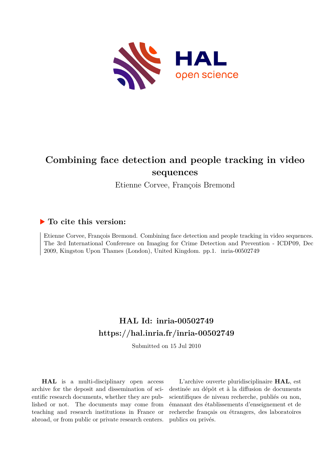

# **Combining face detection and people tracking in video sequences**

Etienne Corvee, François Bremond

### **To cite this version:**

Etienne Corvee, François Bremond. Combining face detection and people tracking in video sequences. The 3rd International Conference on Imaging for Crime Detection and Prevention - ICDP09, Dec 2009, Kingston Upon Thames (London), United Kingdom. pp.1. inria-00502749

## **HAL Id: inria-00502749 <https://hal.inria.fr/inria-00502749>**

Submitted on 15 Jul 2010

**HAL** is a multi-disciplinary open access archive for the deposit and dissemination of scientific research documents, whether they are published or not. The documents may come from teaching and research institutions in France or abroad, or from public or private research centers.

L'archive ouverte pluridisciplinaire **HAL**, est destinée au dépôt et à la diffusion de documents scientifiques de niveau recherche, publiés ou non, émanant des établissements d'enseignement et de recherche français ou étrangers, des laboratoires publics ou privés.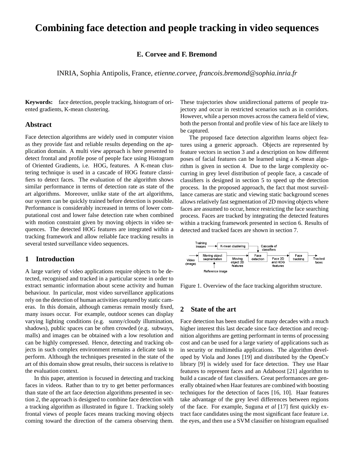## **Combining face detection and people tracking in video sequences**

#### **E. Corvee and F. Bremond**

INRIA, Sophia Antipolis, France, *etienne.corvee, francois.bremond@sophia.inria.fr*

**Keywords:** face detection, people tracking, histogram of oriented gradients, K-mean clustering.

#### **Abstract**

Face detection algorithms are widely used in computer vision as they provide fast and reliable results depending on the application domain. A multi view approach is here presented to detect frontal and profile pose of people face using Histogram of Oriented Gradients, i.e. HOG, features. A K-mean clustering technique is used in a cascade of HOG feature classifiers to detect faces. The evaluation of the algorithm shows similar performance in terms of detection rate as state of the art algorithms. Moreover, unlike state of the art algorithms, our system can be quickly trained before detection is possible. Performance is considerably increased in terms of lower computational cost and lower false detection rate when combined with motion constraint given by moving objects in video sequences. The detected HOG features are integrated within a tracking framework and allow reliable face tracking results in several tested surveillance video sequences.

#### **1 Introduction**

A large variety of video applications require objects to be detected, recognised and tracked in a particular scene in order to extract semantic information about scene activity and human behaviour. In particular, most video surveillance applications rely on the detection of human activities captured by static cameras. In this domain, although cameras remain mostly fixed, many issues occur. For example, outdoor scenes can display varying lighting conditions (e.g. sunny/cloudy illumination, shadows), public spaces can be often crowded (e.g. subways, malls) and images can be obtained with a low resolution and can be highly compressed. Hence, detecting and tracking objects in such complex environment remains a delicate task to perform. Although the techniques presented in the state of the art of this domain show great results, their success is relative to the evaluation context.

In this paper, attention is focused in detecting and tracking faces in videos. Rather than to try to get better performances than state of the art face detection algorithms presented in section 2, the approach is designed to combine face detection with a tracking algorithm as illustrated in figure 1. Tracking solely frontal views of people faces means tracking moving objects coming toward the direction of the camera observing them.

These trajectories show unidirectional patterns of people trajectory and occur in restricted scenarios such as in corridors. However, while a person moves across the camera field of view, both the person frontal and profile view of his face are likely to be captured.

The proposed face detection algorithm learns object features using a generic approach. Objects are represented by feature vectors in section 3 and a description on how different poses of facial features can be learned using a K-mean algorithm is given in section 4. Due to the large complexity occurring in grey level distribution of people face, a cascade of classifiers is designed in section 5 to speed up the detection process. In the proposed approach, the fact that most surveillance cameras are static and viewing static background scenes allows relatively fast segmentation of 2D moving objects where faces are assumed to occur, hence restricting the face searching process. Faces are tracked by integrating the detected features within a tracking framework presented in section 6. Results of detected and tracked faces are shown in section 7.



Figure 1. Overview of the face tracking algorithm structure.

#### **2 State of the art**

Face detection has been studied for many decades with a much higher interest this last decade since face detection and recognition algorithms are getting performant in terms of processing cost and can be used for a large variety of applications such as in security or multimedia applications. The algorithm developed by Viola and Jones [19] and distributed by the OpenCv library [9] is widely used for face detection. They use Haar features to represent faces and an Adaboost [21] algorithm to build a cascade of fast classifiers. Great performances are generally obtained when Haar features are combined with boosting techniques for the detection of faces [16, 10]. Haar features take advantage of the grey level differences between regions of the face. For example, Suguna *et al* [17] first quickly extract face candidates using the most significant face feature i.e. the eyes, and then use a SVM classifier on histogram equalised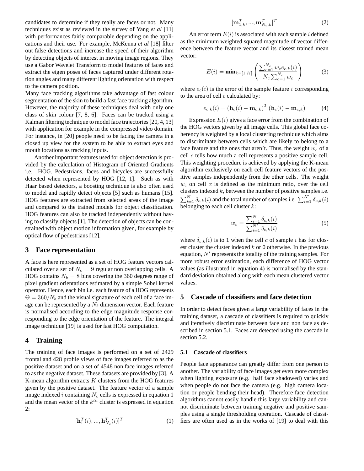candidates to determine if they really are faces or not. Many techniques exist as reviewed in the survey of Yang *et al* [11] with performances fairly comparable depending on the applications and their use. For example, McKenna *et al* [18] filter out false detections and increase the speed of their algorithm by detecting objects of interest in moving image regions. They use a Gabor Wavelet Transform to model features of faces and extract the eigen poses of faces captured under different rotation angles and many different lighting orientation with respect to the camera position.

Many face tracking algorithms take advantage of fast colour segmentation of the skin to build a fast face tracking algorithm. However, the majority of these techniques deal with only one class of skin colour [7, 8, 6]. Faces can be tracked using a Kalman filtering technique to model face trajectories [20, 4, 13] with application for example in the compressed video domain. For instance, in [20] people need to be facing the camera in a closed up view for the system to be able to extract eyes and mouth locations as tracking inputs.

Another important features used for object detection is provided by the calculation of Histogram of Oriented Gradients i.e. HOG. Pedestrians, faces and bicycles are successfully detected when represented by HOG [12, 1]. Such as with Haar based detectors, a boosting technique is also often used to model and rapidly detect objects [5] such as humans [15]. HOG features are extracted from selected areas of the image and compared to the trained models for object classification. HOG features can also be tracked independently without having to classify objects [1]. The detection of objects can be constrained with object motion information given, for example by optical flow of pedestrians [12].

#### **3 Face representation**

A face is here represented as a set of HOG feature vectors calculated over a set of  $N_c = 9$  regular non overlapping cells. A HOG contains  $N_b = 8$  bins covering the 360 degrees range of pixel gradient orientations estimated by a simple Sobel kernel operator. Hence, each bin i.e. each feature of a HOG represents  $\Theta = 360/N_b$  and the visual signature of each cell of a face image can be represented by a *N<sup>b</sup>* dimension vector. Each feature is normalised according to the edge magnitude response corresponding to the edge orientation of the feature. The integral image technique [19] is used for fast HOG computation.

#### **4 Training**

The training of face images is performed on a set of 2429 frontal and 428 profile views of face images referred to as the positive dataset and on a set of 4548 non face images referred to as the negative dataset. These datasets are provided by [3]. A K-mean algorithm extracts *K* clusters from the HOG features given by the positive dataset. The feature vector of a sample image indexed *i* containing *N<sup>c</sup>* cells is expressed in equation 1 and the mean vector of the *k th* cluster is expressed in equation 2:

$$
[\mathbf{h}_1^T(i), ..., \mathbf{h}_{N_c}^T(i)]^T
$$
 (1)

$$
[\mathbf{m}_{1,k}^T, ..., \mathbf{m}_{N_c,k}^T]^T
$$
\n(2)

An error term  $E(i)$  is associated with each sample *i* defined as the minimum weighted squared magnitude of vector difference between the feature vector and its closest trained mean vector:

$$
E(i) = \min_{k= [1:K]} \left( \frac{\sum_{c=1}^{N_c} w_c e_{c,k}(i)}{N_c \sum_{c=1}^{N_c} w_c} \right)
$$
(3)

where  $e_c(i)$  is the error of the sample feature *i* corresponding to the area of cell *c* calculated by:

$$
e_{c,k}(i) = \left(\mathbf{h}_c(i) - \mathbf{m}_{c,k}\right)^T \left(\mathbf{h}_c(i) - \mathbf{m}_{c,k}\right) \tag{4}
$$

Expression  $E(i)$  gives a face error from the combination of the HOG vectors given by all image cells. This global face coherency is weighted by a local clustering technique which aims to discriminate between cells which are likely to belong to a face feature and the ones that aren't. Thus, the weight  $w_c$  of a cell *c* tells how much a cell represents a positive sample cell. This weighting procedure is achieved by applying the K-mean algorithm exclusively on each cell feature vectors of the positive samples independently from the other cells. The weight  $w_c$  on cell  $x$  is defined as the minimum ratio, over the cell clusters indexed *k*, between the number of positive samples i.e.  $\sum_{i=1}^{N} \delta_{c,k}(i)$  and the total number of samples i.e.  $\sum_{i=1}^{N'} \delta_{c,k}(i)$ belonging to each cell cluster *k*:

$$
w_c = \frac{\sum_{i=1}^{N} \delta_{c,k}(i)}{\sum_{i=1}^{N'} \delta_{c,k}(i)}
$$
(5)

where  $\delta_{c,k}(i)$  is to 1 when the cell *c* of sample *i* has for closest cluster the cluster indexed *k* or 0 otherwise. In the previous equation, *N′* represents the totality of the training samples. For more robust error estimation, each difference of HOG vector values (as illustrated in equation 4) is normalised by the standard deviation obtained along with each mean clustered vector values.

#### **5 Cascade of classifiers and face detection**

In order to detect faces given a large variability of faces in the training dataset, a cascade of classifiers is required to quickly and iteratively discriminate between face and non face as described in section 5.1. Faces are detected using the cascade in section 5.2.

#### **5.1 Cascade of classifiers**

People face appearance can greatly differ from one person to another. The variability of face images get even more complex when lighting exposure (e.g. half face shadowed) varies and when people do not face the camera (e.g. high camera location or people bending their head). Therefore face detection algorithms cannot easily handle this large variability and cannot discriminate between training negative and positive samples using a single thresholding operation. Cascade of classifiers are often used as in the works of [19] to deal with this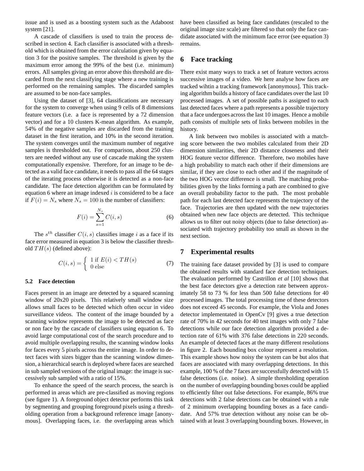issue and is used as a boosting system such as the Adaboost system [21].

A cascade of classifiers is used to train the process described in section 4. Each classifier is associated with a threshold which is obtained from the error calculation given by equation 3 for the positive samples. The threshold is given by the maximum error among the 99% of the best (i.e. minimum) errors. All samples giving an error above this threshold are discarded from the next classifying stage where a new training is performed on the remaining samples. The discarded samples are assumed to be non-face samples.

Using the dataset of [3], 64 classifications are necessary for the system to converge when using 9 cells of 8 dimensions feature vectors (i.e. a face is represented by a 72 dimension vector) and for a 10 clusters K-mean algorithm. As example, 54% of the negative samples are discarded from the training dataset in the first iteration, and 10% in the second iteration. The system converges until the maximum number of negative samples is thresholded out. For comparison, about 250 clusters are needed without any use of cascade making the system computationally expensive. Therefore, for an image to be detected as a valid face candidate, it needs to pass all the 64 stages of the iterating process otherwise it is detected as a non-face candidate. The face detection algorithm can be formulated by equation 6 where an image indexed *i* is considered to be a face if  $F(i) = N_s$  where  $N_s = 100$  is the number of classifiers:

$$
F(i) = \sum_{s=1}^{N_s} C(i, s)
$$
 (6)

The  $s^{th}$  classifier  $C(i, s)$  classifies image *i* as a face if its face error measured in equation 3 is below the classifier threshold *T H*(*s*) (defined above):

$$
C(i,s) = \begin{cases} 1 \text{ if } E(i) < TH(s) \\ 0 \text{ else} \end{cases} \tag{7}
$$

#### **5.2 Face detection**

Faces present in an image are detected by a squared scanning window of 20x20 pixels. This relatively small window size allows small faces to be detected which often occur in video surveillance videos. The content of the image bounded by a scanning window represents the image to be detected as face or non face by the cascade of classifiers using equation 6. To avoid large computational cost of the search procedure and to avoid multiple overlapping results, the scanning window looks for faces every 5 pixels across the entire image. In order to detect faces with sizes bigger than the scanning window dimension, a hierarchical search is deployed where faces are searched in sub sampled versions of the original image: the image is successively sub sampled with a ratio of 15%.

To enhance the speed of the search process, the search is performed in areas which are pre-classified as moving regions (see figure 1). A foreground object detector performs this task by segmenting and grouping foreground pixels using a thresholding operation from a background reference image [anonymous]. Overlapping faces, i.e. the overlapping areas which have been classified as being face candidates (rescaled to the original image size scale) are filtered so that only the face candidate associated with the minimum face error (see equation 3) remains.

#### **6 Face tracking**

There exist many ways to track a set of feature vectors across successive images of a video. We here analyse how faces are tracked wihtin a tracking framework [anonymous]. This tracking algorithm builds a history of face candidates over the last 10 processed images. A set of possible paths is assigned to each last detected faces where a path represents a possible trajectory that a face undergoes across the last 10 images. Hence a mobile path consists of multiple sets of links between mobiles in the history.

A link between two mobiles is associated with a matching score between the two mobiles calculated from their 2D dimension similarities, their 2D distance closeness and their HOG feature vector difference. Therefore, two mobiles have a high probability to match each other if their dimensions are similar, if they are close to each other and if the magnitude of the two HOG vector difference is small. The matching probabilities given by the links forming a path are combined to give an overall probability factor to the path. The most probable path for each last detected face represents the trajectory of the face. Trajectories are then updated with the new trajectories obtained when new face objects are detected. This technique allows us to filter out noisy objects (due to false detection) associated with trajectory probability too small as shown in the next section.

#### **7 Experimental results**

The training face dataset provided by [3] is used to compare the obtained results with standard face detection techniques. The evaluation performed by Castrillon *et al* [10] shows that the best face detectors give a detection rate between approximately 58 to 73 % for less than 500 false detections for 40 processed images. The total processing time of these detectors does not exceed 45 seconds. For example, the Viola and Jones detector implementated in OpenCv [9] gives a true detection rate of 70% in 42 seconds for 40 test images with only 7 false detections while our face detection algorithm provided a detection rate of 61% with 376 false detections in 220 seconds. An example of detected faces at the many different resolutions in figure 2. Each bounding box colour represent a resolution. This example shows how noisy the system can be but alos that faces are associated with many overlapping detections. In this example, 100 % of the 7 faces are successfully detected with 15 false detections (i.e. noise). A simple thresholding operation on the number of overlapping bounding boxes could be applied to efficiently filter out false detections. For example, 86% true detections with 2 false detections can be obtained with a rule of 2 minimum overlapping bounding boxes as a face candidate. And 57% true detection without any noise can be obtained with at least 3 overlapping bounding boxes. However, in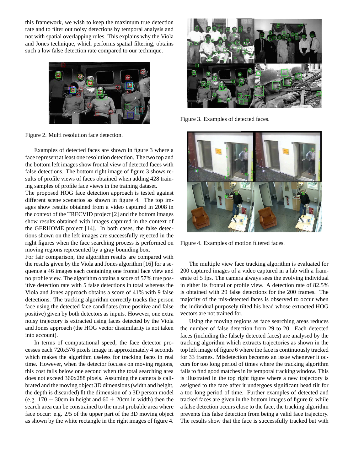this framework, we wish to keep the maximum true detection rate and to filter out noisy detections by temporal analysis and not with spatial overlapping rules. This explains why the Viola and Jones technique, which performs spatial filtering, obtains such a low false detection rate compared to our technique.



Figure 2. Multi resolution face detection.

Examples of detected faces are shown in figure 3 where a face represent at least one resolution detection. The two top and the bottom left images show frontal view of detected faces with false detections. The bottom right image of figure 3 shows results of profile views of faces obtained when adding 428 training samples of profile face views in the training dataset.

The proposed HOG face detection approach is tested against different scene scenarios as shown in figure 4. The top images show results obtained from a video captured in 2008 in the context of the TRECVID project [2] and the bottom images show results obtained with images captured in the context of the GERHOME project [14]. In both cases, the false detections shown on the left images are successfully rejected in the right figures when the face searching process is performed on moving regions represented by a gray bounding box.

For fair comparison, the algorithm results are compared with the results given by the Viola and Jones algorithm [16] for a sequence a 46 images each containing one frontal face view and no profile view. The algorithm obtains a score of 57% true positive detection rate with 5 false detections in total whereas the Viola and Jones approach obtains a score of 41% with 9 false detections. The tracking algorithm correctly tracks the person face using the detected face candidates (true positive and false positive) given by both detectors as inputs. However, one extra noisy trajectory is extracted using faces detected by the Viola and Jones approach (the HOG vector dissimilarity is not taken into account).

In terms of computational speed, the face detector processes each 720x576 pixels image in approximately 4 seconds which makes the algorithm useless for tracking faces in real time. However, when the detector focuses on moving regions, this cost falls below one second when the total searching area does not exceed 360x288 pixels. Assuming the camera is calibrated and the moving object 3D dimensions (width and height, the depth is discarded) fit the dimension of a 3D person model (e.g.  $170 \pm 30$ cm in height and  $60 \pm 20$ cm in width) then the search area can be constrained to the most probable area where face occur: e.g. 2/5 of the upper part of the 3D moving object as shown by the white rectangle in the right images of figure 4.



Figure 3. Examples of detected faces.



Figure 4. Examples of motion filtered faces.

The multiple view face tracking algorithm is evaluated for 200 captured images of a video captured in a lab with a framerate of 5 fps. The camera always sees the evolving individual in either its frontal or profile view. A detection rate of 82.5% is obtained with 29 false detections for the 200 frames. The majority of the mis-detected faces is observed to occur when the individual purposely tilted his head whose extracted HOG vectors are not trained for.

Using the moving regions as face searching areas reduces the number of false detection from 29 to 20. Each detected faces (including the falsely detected faces) are analysed by the tracking algorithm which extracts trajectories as shown in the top left image of figure 6 where the face is continuously tracked for 33 frames. Misdetection becomes an issue whenever it occurs for too long period of times where the tracking algorithm fails to find good matches in its temporal tracking window. This is illustrated in the top right figure where a new trajectory is assigned to the face after it undergoes significant head tilt for a too long period of time. Further examples of detected and tracked faces are given in the bottom images of figure 6: while a false detection occurs close to the face, the tracking algorithm prevents this false detection from being a valid face trajectory. The results show that the face is successfully tracked but with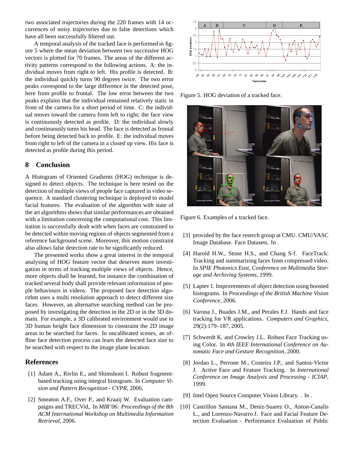two associated trajectories during the 220 frames with 14 occurrences of noisy trajectories due to false detections which have all been successfully filtered out.

A temporal analysis of the tracked face is performed in figure 5 where the mean deviation between two successive HOG vectors is plotted for 70 frames. The areas of the different activity patterns correspond to the following actions. A: the individual moves from right to left. His profile is detected. B: the individual quickly turns 90 degrees twice. The two error peaks correspond to the large difference in the detected pose, here from profile to frontal. The low error between the two peaks explains that the individual remained relatively static in front of the camera for a short period of time. C: the individual moves toward the camera from left to right; the face view is continuously detected as profile. D: the individual slowly and continuously turns his head. The face is detected as frontal before being detected back to profile. E: the individual moves from right to left of the camera in a closed up view. His face is detected as profile during this period.

#### **8 Conclusion**

A Histogram of Oriented Gradients (HOG) technique is designed to detect objects. The technique is here tested on the detection of multiple views of people face captured in video sequence. A standard clustering technique is deployed to model facial features. The evaluation of the algorithm with state of the art algorithms shows that similar performances are obtained with a limitation concerning the computational cost. This limitation is successfully dealt with when faces are constrained to be detected within moving regions of objects segmented from a reference background scene. Moreover, this motion constraint also allows false detection rate to be significantly reduced.

The presented works show a great interest in the temporal analysing of HOG feature vector that deserves more investigation in terms of tracking multiple views of objects. Hence, more objects shall be learned, for instance the combination of tracked several body shall provide relevant information of people behaviours in videos. The proposed face detection algorithm uses a multi resolution approach to detect different size faces. However, an alternative searching method can be proposed by investigating the detection in the 2D or in the 3D domain. For example, a 3D calibrated environment would use to 3D human height face dimension to constraint the 2D image areas to be searched for faces. In uncalibrated scenes, an offline face detection process can learn the detected face size to be searched with respect to the image plane location.

#### **References**

- [1] Adam A., Rivlin E., and Shimshoni I. Robust fragmentbased tracking using integral histogram. In *Computer Vision and Pattern Recognition - CVPR*, 2006.
- [2] Smeaton A.F., Over P., and Kraaij W. Evaluation campaigns and TRECVid,. In *MIR'06: Proceedings of the 8th ACM International Workshop on Multimedia Information Retrieval*, 2006.



Figure 5. HOG deviation of a tracked face.



Figure 6. Examples of a tracked face.

- [3] provided by the face reserch group at CMU. CMU/VASC Image Database. Face Datasets. In .
- [4] Harold H.W., Stone H.S., and Chang S-f. FaceTrack: Tracking and summarizing faces from compressed video. In *SPIE Photonics East, Conference on Multimedia Storage and Archiving Systems*, 1999.
- [5] Laptev I. Improvements of object detection using boosted histograms. In *Proceedings of the British Machine Vision Conference*, 2006.
- [6] Varona J., Buades J.M., and Perales F.J. Hands and face tracking for VR applications. *Computers and Graphics*, 29(2):179–187, 2005.
- [7] Schwerdt K. and Crowley J.L. Robust Face Tracking using Color. In *4th IEEE International Conference on Automatic Face and Gesture Recognition*, 2000.
- [8] Jordao L., Perrone M., Costeira J.P., and Santos-Victor J. Active Face and Feature Tracking. In *International Conference on Image Analysis and Processing - ICIAP*, 1999.
- [9] Intel Open Source Computer Vision Library. . In .
- [10] Castrillon Santana M., Deniz-Suarez O., Anton-Canalis L., and Lorenzo-Navarro J. Face and Facial Feature Detection Evaluation - Performance Evaluation of Public